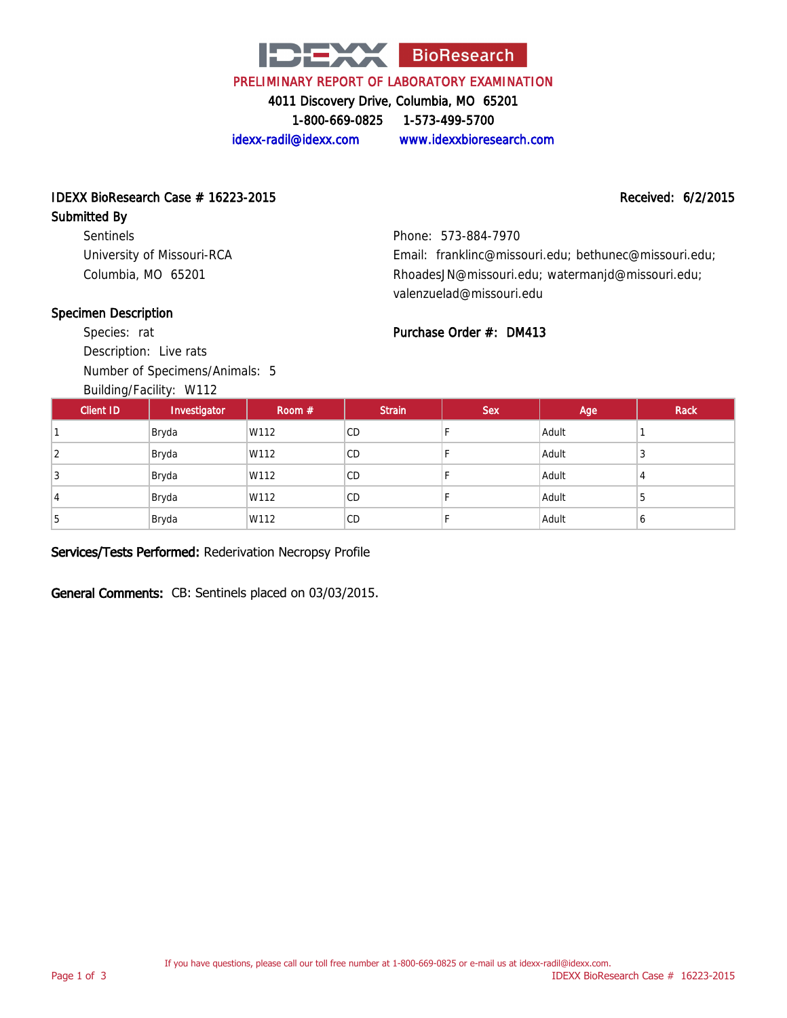

PRELIMINARY REPORT OF LABORATORY EXAMINATION

4011 Discovery Drive, Columbia, MO 65201

1-800-669-0825 1-573-499-5700

idexx-radil@idexx.com www.idexxbioresearch.com

## IDEXX BioResearch Case # 16223-2015 Received: 6/2/2015

#### Submitted By

Sentinels University of Missouri-RCA Columbia, MO 65201

Phone: 573-884-7970 Email: franklinc@missouri.edu; bethunec@missouri.edu; RhoadesJN@missouri.edu; watermanjd@missouri.edu; valenzuelad@missouri.edu

#### Specimen Description

Species: rat Description: Live rats Number of Specimens/Animals: 5

Building/Facility: W112

### Purchase Order #: DM413

| <b>Client ID</b> | $B$ and $B$ , $B$ about $T$ . $T$ . $T$<br>Investigator | Room $#$ | <b>Strain</b> | <b>Sex</b> | Age   | Rack |
|------------------|---------------------------------------------------------|----------|---------------|------------|-------|------|
|                  | Bryda                                                   | W112     | CD            |            | Adult |      |
| 2                | Bryda                                                   | W112     | CD            |            | Adult | 3    |
| 3                | Bryda                                                   | W112     | CD            |            | Adult | 4    |
|                  | Bryda                                                   | W112     | <b>CD</b>     |            | Adult | 5    |
| 5                | Bryda                                                   | W112     | CD            |            | Adult | b    |

#### Services/Tests Performed: Rederivation Necropsy Profile

General Comments: CB: Sentinels placed on 03/03/2015.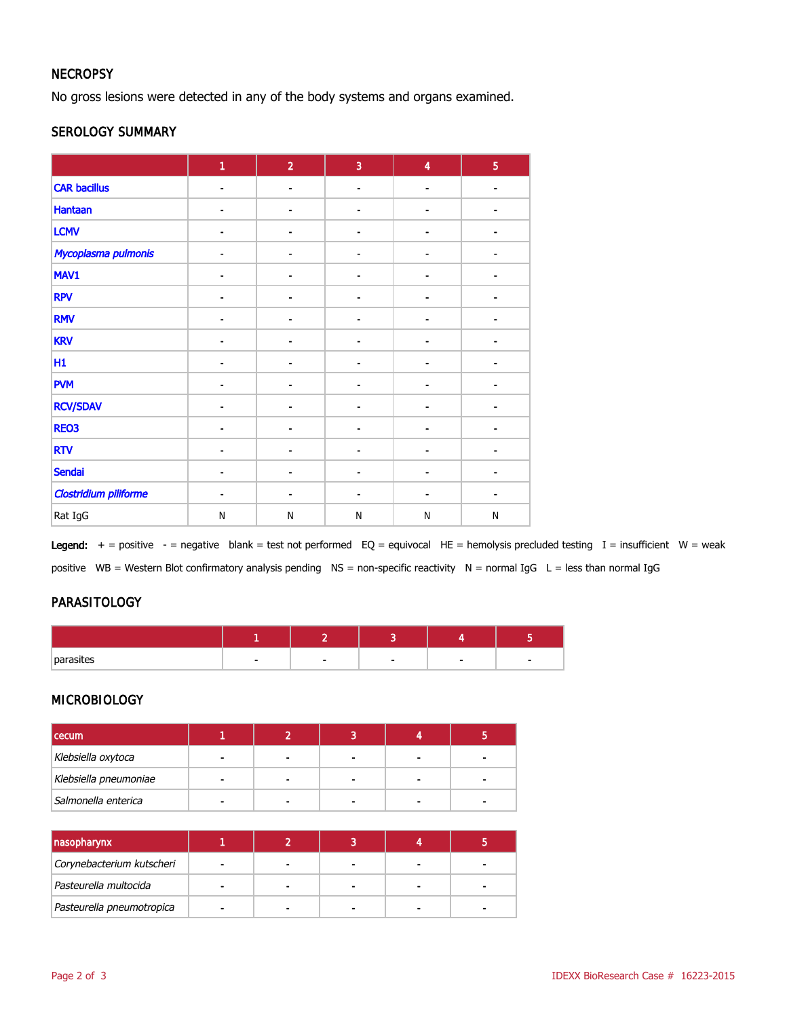#### **NECROPSY**

No gross lesions were detected in any of the body systems and organs examined.

#### SEROLOGY SUMMARY

|                              | 1                        | $\overline{2}$               | 3                            | $\overline{\mathbf{4}}$      | $\overline{5}$ |
|------------------------------|--------------------------|------------------------------|------------------------------|------------------------------|----------------|
| <b>CAR bacillus</b>          | $\blacksquare$           | $\blacksquare$               | $\qquad \qquad$              | $\overline{\phantom{0}}$     |                |
| <b>Hantaan</b>               |                          |                              |                              |                              |                |
| <b>LCMV</b>                  |                          | ۰                            |                              |                              |                |
| Mycoplasma pulmonis          |                          |                              | -                            |                              |                |
| MAV1                         | $\overline{\phantom{a}}$ | ۰                            | ۰                            | $\qquad \qquad \blacksquare$ |                |
| <b>RPV</b>                   | $\blacksquare$           | ٠                            | $\blacksquare$               | $\blacksquare$               |                |
| <b>RMV</b>                   |                          |                              |                              |                              |                |
| <b>KRV</b>                   |                          | Ē,                           |                              |                              |                |
| H1                           | ٠                        | ۰                            | -                            |                              |                |
| <b>PVM</b>                   | $\blacksquare$           | $\qquad \qquad \blacksquare$ |                              | $\overline{\phantom{0}}$     |                |
| <b>RCV/SDAV</b>              |                          |                              |                              |                              |                |
| REO3                         |                          |                              |                              |                              |                |
| <b>RTV</b>                   |                          | -                            | -                            |                              |                |
| <b>Sendai</b>                | $\blacksquare$           | ۰                            | $\qquad \qquad \blacksquare$ | $\blacksquare$               |                |
| <b>Clostridium piliforme</b> | ۰                        | ٠                            | $\blacksquare$               | $\blacksquare$               | ۰              |
| Rat IgG                      | N                        | $\mathsf{N}$                 | N                            | ${\sf N}$                    | $\mathsf{N}$   |

Legend:  $+$  = positive - = negative blank = test not performed EQ = equivocal HE = hemolysis precluded testing I = insufficient W = weak positive WB = Western Blot confirmatory analysis pending NS = non-specific reactivity N = normal IgG L = less than normal IgG

#### PARASITOLOGY

| nnrn<br>ישה |  |  |  |
|-------------|--|--|--|

#### MICROBIOLOGY

| <b>cecum</b>          |   |  |  |
|-----------------------|---|--|--|
| Klebsiella oxytoca    | - |  |  |
| Klebsiella pneumoniae |   |  |  |
| Salmonella enterica   |   |  |  |

| nasopharynx               |  |  |  |
|---------------------------|--|--|--|
| Corynebacterium kutscheri |  |  |  |
| Pasteurella multocida     |  |  |  |
| Pasteurella pneumotropica |  |  |  |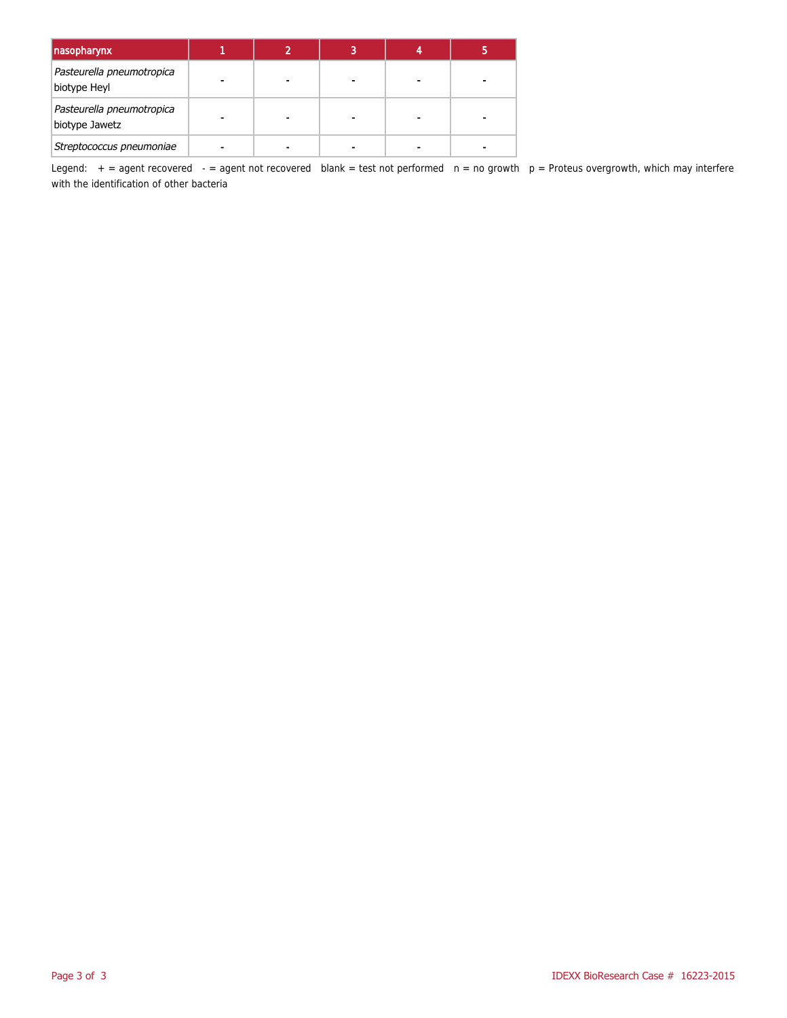| nasopharynx                                 |  | 3 |  |
|---------------------------------------------|--|---|--|
| Pasteurella pneumotropica<br>biotype Heyl   |  |   |  |
| Pasteurella pneumotropica<br>biotype Jawetz |  |   |  |
| Streptococcus pneumoniae                    |  |   |  |

Legend:  $+$  = agent recovered  $-$  = agent not recovered blank = test not performed  $n$  = no growth  $p$  = Proteus overgrowth, which may interfere with the identification of other bacteria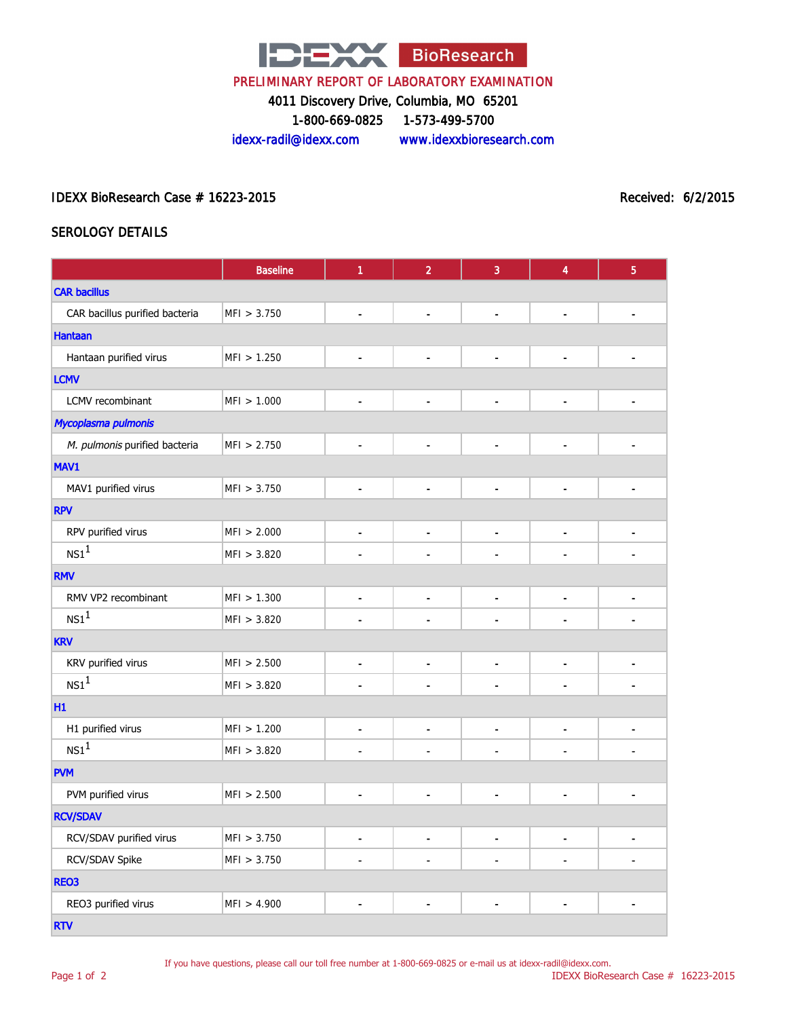

#### PRELIMINARY REPORT OF LABORATORY EXAMINATION

4011 Discovery Drive, Columbia, MO 65201

1-800-669-0825 1-573-499-5700

idexx-radil@idexx.com www.idexxbioresearch.com

#### IDEXX BioResearch Case # 16223-2015 Received: 6/2/2015

#### SEROLOGY DETAILS

|                                | <b>Baseline</b> | 1              | $\overline{2}$ | 3              | 4                        | $\overline{5}$ |  |
|--------------------------------|-----------------|----------------|----------------|----------------|--------------------------|----------------|--|
| <b>CAR bacillus</b>            |                 |                |                |                |                          |                |  |
| CAR bacillus purified bacteria | MFI > 3.750     | Ĭ.             |                |                | Ĭ.                       |                |  |
| <b>Hantaan</b>                 |                 |                |                |                |                          |                |  |
| Hantaan purified virus         | MFI > 1.250     | $\blacksquare$ | ÷              |                | $\overline{a}$           |                |  |
| <b>LCMV</b>                    |                 |                |                |                |                          |                |  |
| LCMV recombinant               | MFI > 1.000     | $\overline{a}$ | $\blacksquare$ | $\overline{a}$ | $\overline{\phantom{a}}$ | $\blacksquare$ |  |
| Mycoplasma pulmonis            |                 |                |                |                |                          |                |  |
| M. pulmonis purified bacteria  | MFI > 2.750     | ٠              | $\blacksquare$ |                | ä,                       |                |  |
| MAV1                           |                 |                |                |                |                          |                |  |
| MAV1 purified virus            | MFI > 3.750     | $\overline{a}$ |                |                | ä,                       |                |  |
| <b>RPV</b>                     |                 |                |                |                |                          |                |  |
| RPV purified virus             | MFI > 2.000     | $\blacksquare$ | $\blacksquare$ | $\blacksquare$ | $\blacksquare$           | $\blacksquare$ |  |
| NS1 <sup>1</sup>               | MFI > 3.820     |                |                |                |                          |                |  |
| <b>RMV</b>                     |                 |                |                |                |                          |                |  |
| RMV VP2 recombinant            | MFI > 1.300     | $\blacksquare$ | $\blacksquare$ | $\overline{a}$ | $\blacksquare$           | $\blacksquare$ |  |
| NS1 <sup>1</sup>               | MFI > 3.820     | $\overline{a}$ | J.             | $\overline{a}$ | $\overline{\phantom{a}}$ | $\overline{a}$ |  |
| <b>KRV</b>                     |                 |                |                |                |                          |                |  |
| KRV purified virus             | MFI > 2.500     | $\blacksquare$ | $\overline{a}$ |                | $\blacksquare$           | $\overline{a}$ |  |
| NS1 <sup>1</sup>               | MFI > 3.820     |                | $\blacksquare$ | $\blacksquare$ | $\overline{\phantom{a}}$ | ٠              |  |
| H1                             |                 |                |                |                |                          |                |  |
| H1 purified virus              | MFI > 1.200     | $\blacksquare$ | $\blacksquare$ | $\blacksquare$ | $\overline{\phantom{a}}$ | $\blacksquare$ |  |
| NS1 <sup>1</sup>               | MFI > 3.820     |                |                |                |                          |                |  |
| <b>PVM</b>                     |                 |                |                |                |                          |                |  |
| PVM purified virus             | MFI > 2.500     | L              | $\overline{a}$ |                | $\overline{a}$           | $\overline{a}$ |  |
| <b>RCV/SDAV</b>                |                 |                |                |                |                          |                |  |
| RCV/SDAV purified virus        | MFI > 3.750     | $\blacksquare$ | $\blacksquare$ | $\blacksquare$ | $\blacksquare$           | $\blacksquare$ |  |
| RCV/SDAV Spike                 | MFI > 3.750     |                |                |                | $\blacksquare$           |                |  |
| REO3                           |                 |                |                |                |                          |                |  |
| REO3 purified virus            | MFI > 4.900     |                |                |                |                          |                |  |
| <b>RTV</b>                     |                 |                |                |                |                          |                |  |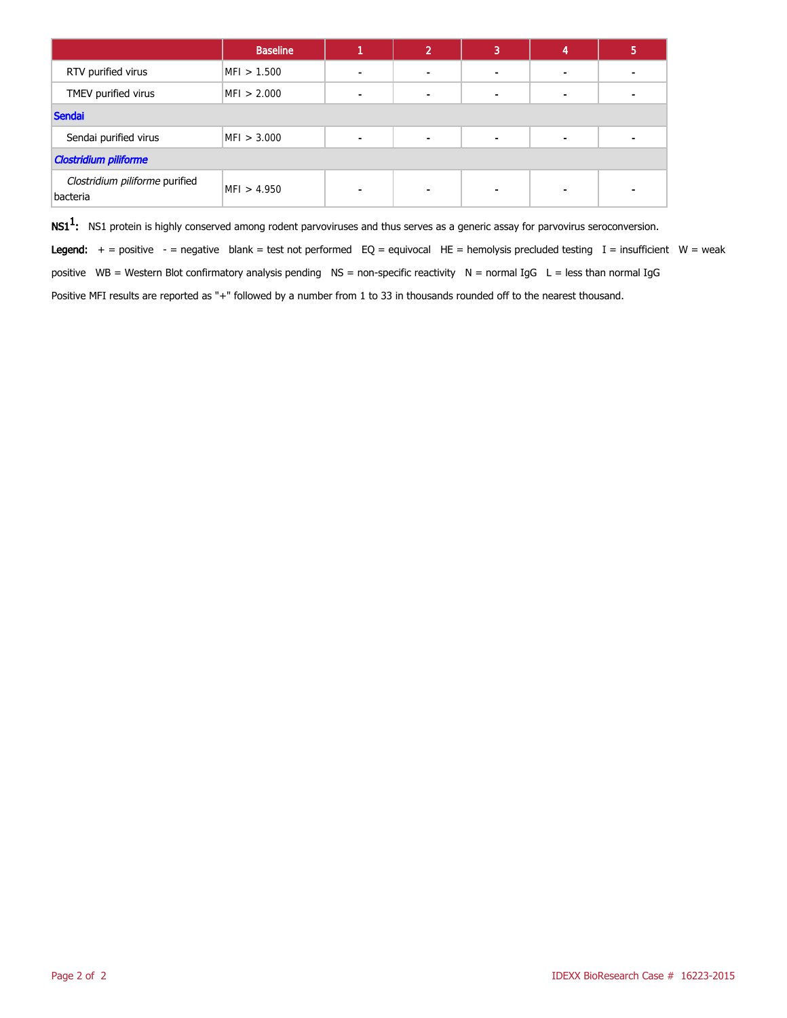|                                            | <b>Baseline</b> |                          | ∍ | 3 |                | 5 |
|--------------------------------------------|-----------------|--------------------------|---|---|----------------|---|
| RTV purified virus                         | MFI > 1.500     | -                        |   |   | $\blacksquare$ |   |
| TMEV purified virus                        | MFI > 2.000     | $\overline{\phantom{0}}$ |   |   | $\blacksquare$ |   |
| Sendai                                     |                 |                          |   |   |                |   |
| Sendai purified virus                      | MFI > 3.000     | $\blacksquare$           | - |   | $\blacksquare$ |   |
| <b>Clostridium piliforme</b>               |                 |                          |   |   |                |   |
| Clostridium piliforme purified<br>bacteria | MFI > 4.950     | -                        |   | ٠ | ۰              |   |

 $\textsf{NS1}^1$ : NS1 protein is highly conserved among rodent parvoviruses and thus serves as a generic assay for parvovirus seroconversion. Legend:  $+$  = positive - = negative blank = test not performed EQ = equivocal HE = hemolysis precluded testing I = insufficient W = weak positive WB = Western Blot confirmatory analysis pending NS = non-specific reactivity N = normal IgG L = less than normal IgG Positive MFI results are reported as "+" followed by a number from 1 to 33 in thousands rounded off to the nearest thousand.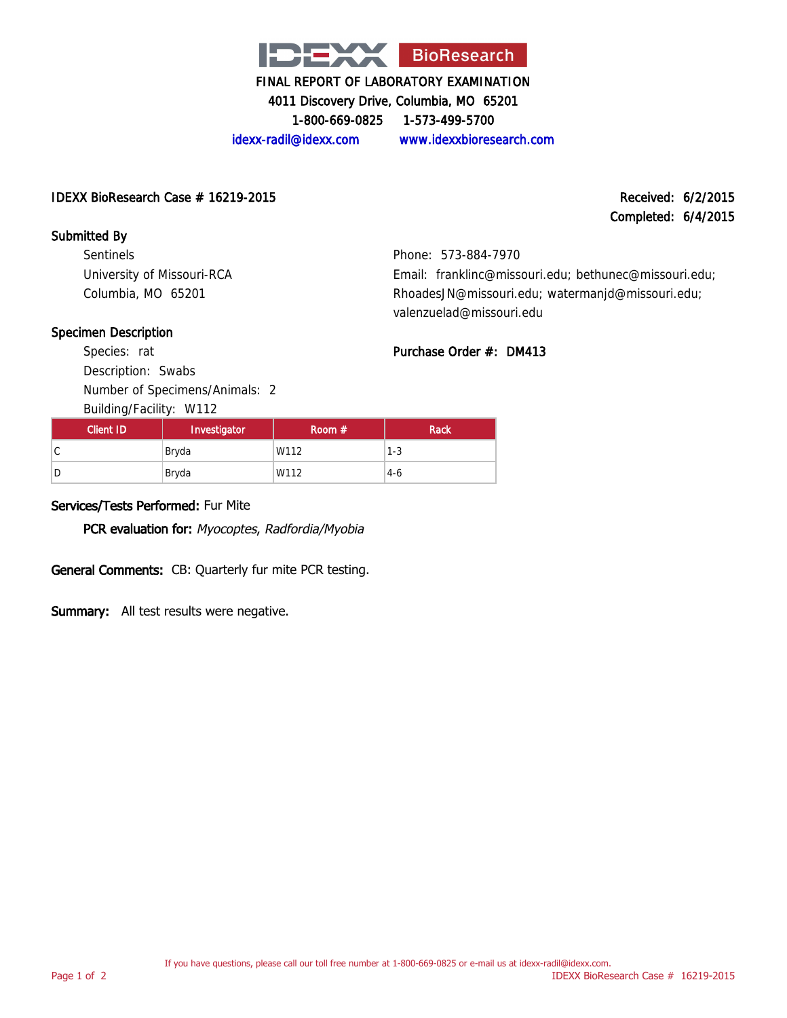

4011 Discovery Drive, Columbia, MO 65201

1-800-669-0825 1-573-499-5700

idexx-radil@idexx.com www.idexxbioresearch.com

#### IDEXX BioResearch Case # 16219-2015 Received: 6/2/2015

# Completed: 6/4/2015

#### Submitted By

Sentinels University of Missouri-RCA Columbia, MO 65201

Phone: 573-884-7970 Email: franklinc@missouri.edu; bethunec@missouri.edu; RhoadesJN@missouri.edu; watermanjd@missouri.edu; valenzuelad@missouri.edu

#### Specimen Description

Species: rat Description: Swabs Number of Specimens/Animals: 2

Building/Facility: W112

| Email: franklinc@missouri.edu; bethunec@missouri.edu |
|------------------------------------------------------|
| RhoadesJN@missouri.edu; watermanjd@missouri.edu;     |
| valenzuelad@missouri.edu                             |

#### Purchase Order #: DM413

| Client ID | Investigator | Room $#$ | <b>Rack</b> |
|-----------|--------------|----------|-------------|
| C         | Bryda        | W112     | $1 - 3$     |
| D         | Bryda        | W112     | $4-6$       |

#### Services/Tests Performed: Fur Mite

PCR evaluation for: Myocoptes, Radfordia/Myobia

General Comments: CB: Quarterly fur mite PCR testing.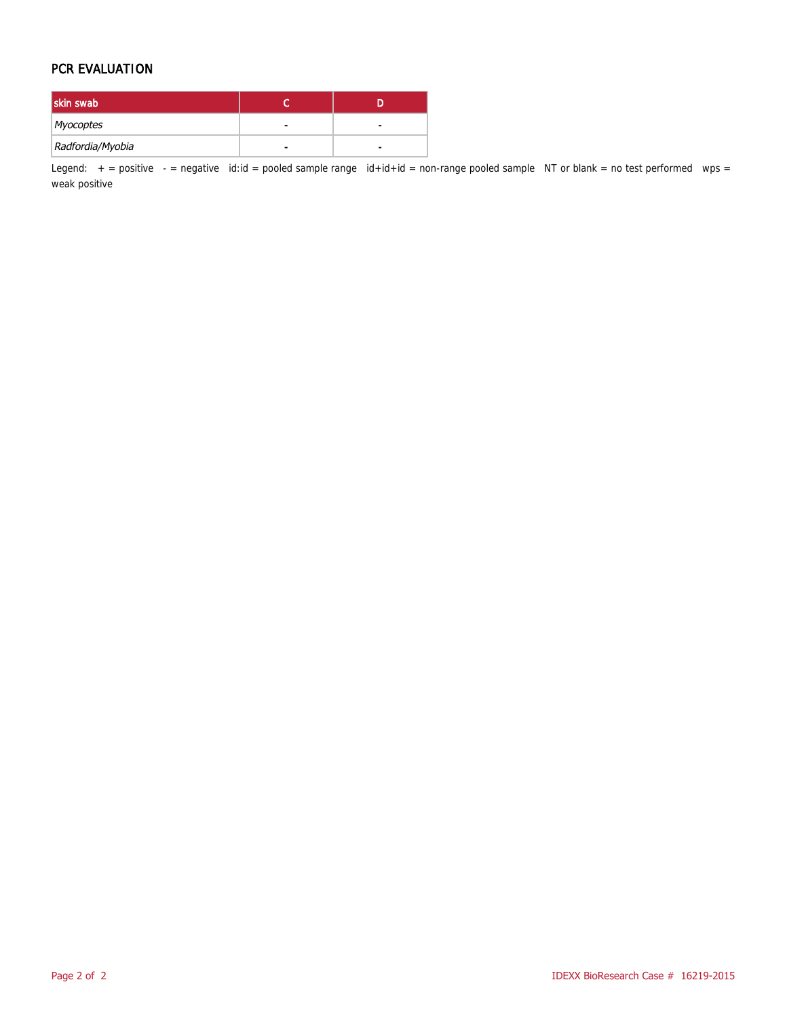#### PCR EVALUATION

| skin swab        |   |   |
|------------------|---|---|
| Myocoptes        | - | - |
| Radfordia/Myobia |   |   |

Legend:  $+$  = positive  $-$  = negative id:id = pooled sample range id+id+id = non-range pooled sample NT or blank = no test performed wps = weak positive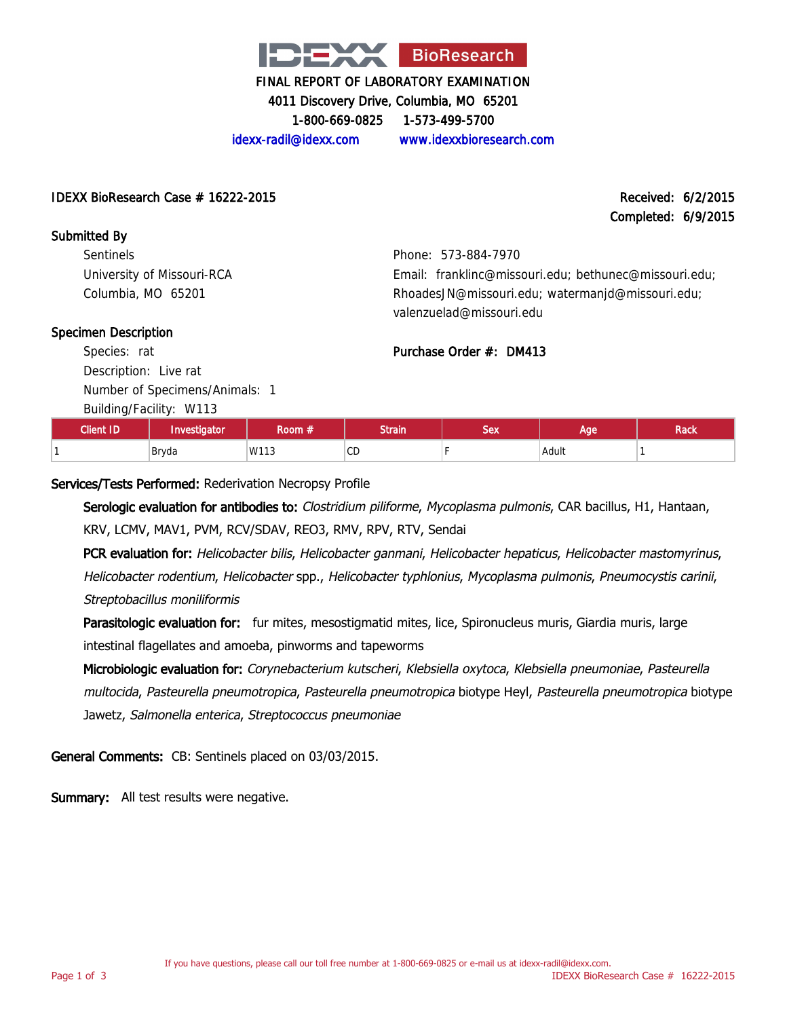

4011 Discovery Drive, Columbia, MO 65201 1-800-669-0825 1-573-499-5700

idexx-radil@idexx.com www.idexxbioresearch.com

#### IDEXX BioResearch Case # 16222-2015 Received: 6/2/2015

Completed: 6/9/2015

Submitted By **Sentinels** University of Missouri-RCA Columbia, MO 65201

Phone: 573-884-7970 Email: franklinc@missouri.edu; bethunec@missouri.edu; RhoadesJN@missouri.edu; watermanjd@missouri.edu; valenzuelad@missouri.edu

#### Specimen Description

Species: rat Description: Live rat Number of Specimens/Animals: 1

Building/Facility: W113

| <b>Client ID</b> | Investigator | Room $\#^+$ | <b>Strain</b> | <b>Sex</b> | Aae'       | Rack |
|------------------|--------------|-------------|---------------|------------|------------|------|
|                  | Bryda        | W113        | ®CD           |            | Adult<br>. |      |

Purchase Order #: DM413

#### Services/Tests Performed: Rederivation Necropsy Profile

Serologic evaluation for antibodies to: Clostridium piliforme, Mycoplasma pulmonis, CAR bacillus, H1, Hantaan, KRV, LCMV, MAV1, PVM, RCV/SDAV, REO3, RMV, RPV, RTV, Sendai

PCR evaluation for: Helicobacter bilis, Helicobacter ganmani, Helicobacter hepaticus, Helicobacter mastomyrinus, Helicobacter rodentium, Helicobacter spp., Helicobacter typhlonius, Mycoplasma pulmonis, Pneumocystis carinii, Streptobacillus moniliformis

Parasitologic evaluation for: fur mites, mesostigmatid mites, lice, Spironucleus muris, Giardia muris, large intestinal flagellates and amoeba, pinworms and tapeworms

Microbiologic evaluation for: Corynebacterium kutscheri, Klebsiella oxytoca, Klebsiella pneumoniae, Pasteurella multocida, Pasteurella pneumotropica, Pasteurella pneumotropica biotype Heyl, Pasteurella pneumotropica biotype Jawetz, Salmonella enterica, Streptococcus pneumoniae

General Comments: CB: Sentinels placed on 03/03/2015.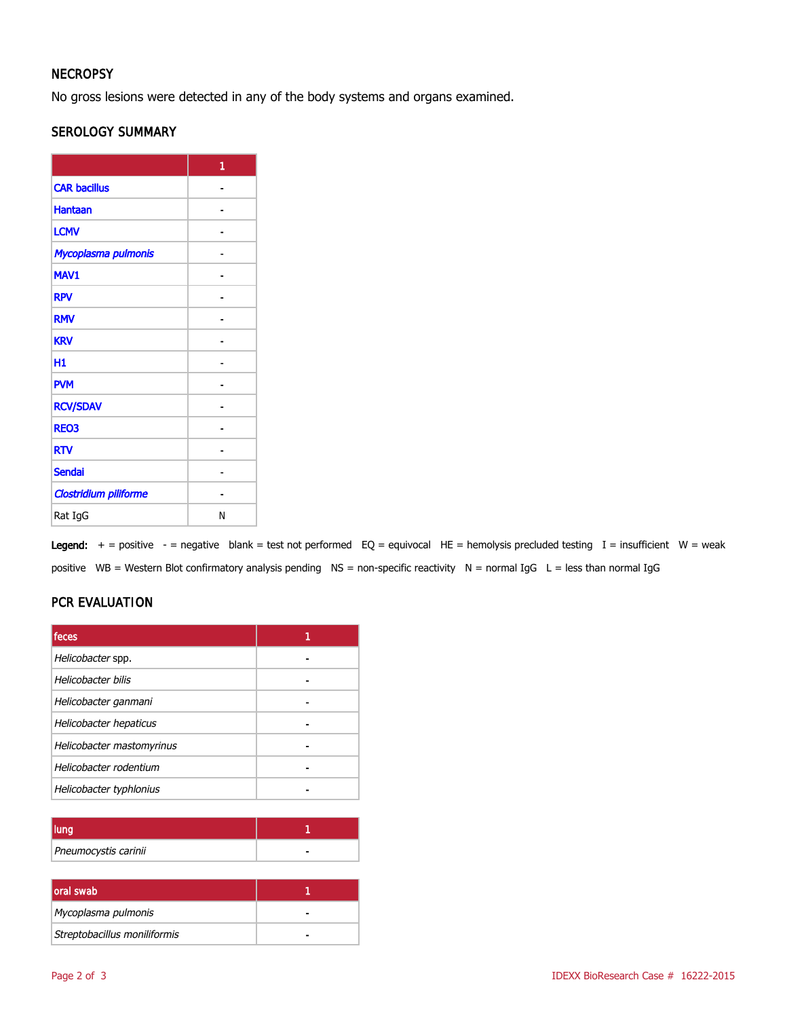#### **NECROPSY**

No gross lesions were detected in any of the body systems and organs examined.

#### SEROLOGY SUMMARY

|                              | 1 |
|------------------------------|---|
| <b>CAR bacillus</b>          |   |
| <b>Hantaan</b>               |   |
| <b>LCMV</b>                  |   |
| Mycoplasma pulmonis          |   |
| MAV1                         |   |
| <b>RPV</b>                   |   |
| <b>RMV</b>                   |   |
| <b>KRV</b>                   |   |
| Н1                           |   |
| <b>PVM</b>                   |   |
| <b>RCV/SDAV</b>              |   |
| <b>REO3</b>                  |   |
| <b>RTV</b>                   |   |
| <b>Sendai</b>                |   |
| <b>Clostridium piliforme</b> |   |
| Rat IgG                      | N |

Legend:  $+$  = positive  $-$  = negative blank = test not performed EQ = equivocal HE = hemolysis precluded testing I = insufficient W = weak positive WB = Western Blot confirmatory analysis pending NS = non-specific reactivity N = normal IgG L = less than normal IgG

#### PCR EVALUATION

| feces                     |  |
|---------------------------|--|
| Helicobacter spp.         |  |
| Helicobacter bilis        |  |
| Helicobacter ganmani      |  |
| Helicobacter hepaticus    |  |
| Helicobacter mastomyrinus |  |
| Helicobacter rodentium    |  |
| Helicobacter typhlonius   |  |

| Pneumocystis carinii |  |
|----------------------|--|

| <b>loral swab</b>            |  |
|------------------------------|--|
| Mycoplasma pulmonis          |  |
| Streptobacillus moniliformis |  |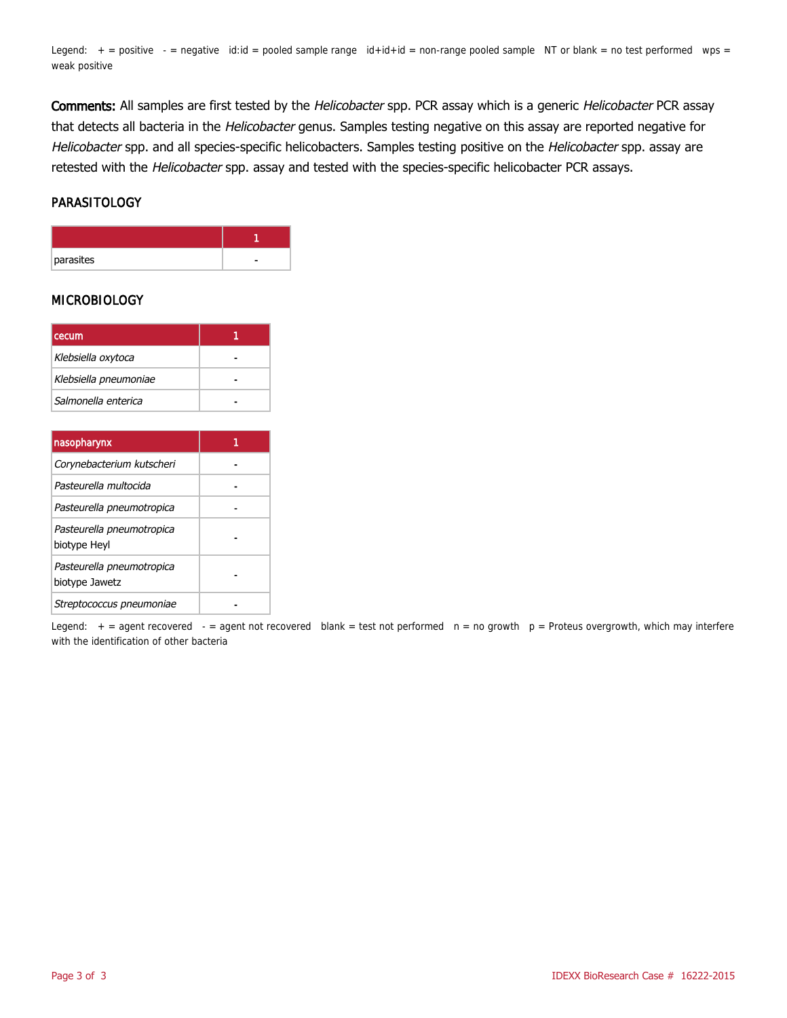Legend:  $+$  = positive  $-$  = negative id:id = pooled sample range  $id+id+id$  = non-range pooled sample NT or blank = no test performed wps = weak positive

Comments: All samples are first tested by the Helicobacter spp. PCR assay which is a generic Helicobacter PCR assay that detects all bacteria in the Helicobacter genus. Samples testing negative on this assay are reported negative for Helicobacter spp. and all species-specific helicobacters. Samples testing positive on the Helicobacter spp. assay are retested with the Helicobacter spp. assay and tested with the species-specific helicobacter PCR assays.

#### PARASITOLOGY

| parasites |  |
|-----------|--|

#### MICROBIOLOGY

| cecum                 |  |
|-----------------------|--|
| Klebsiella oxytoca    |  |
| Klebsiella pneumoniae |  |
| Salmonella enterica   |  |

| nasopharynx                                 |  |
|---------------------------------------------|--|
| Corynebacterium kutscheri                   |  |
| Pasteurella multocida                       |  |
| Pasteurella pneumotropica                   |  |
| Pasteurella pneumotropica<br>biotype Heyl   |  |
| Pasteurella pneumotropica<br>biotype Jawetz |  |
| Streptococcus pneumoniae                    |  |

Legend:  $+$  = agent recovered - = agent not recovered blank = test not performed  $n = no$  growth  $p =$  Proteus overgrowth, which may interfere with the identification of other bacteria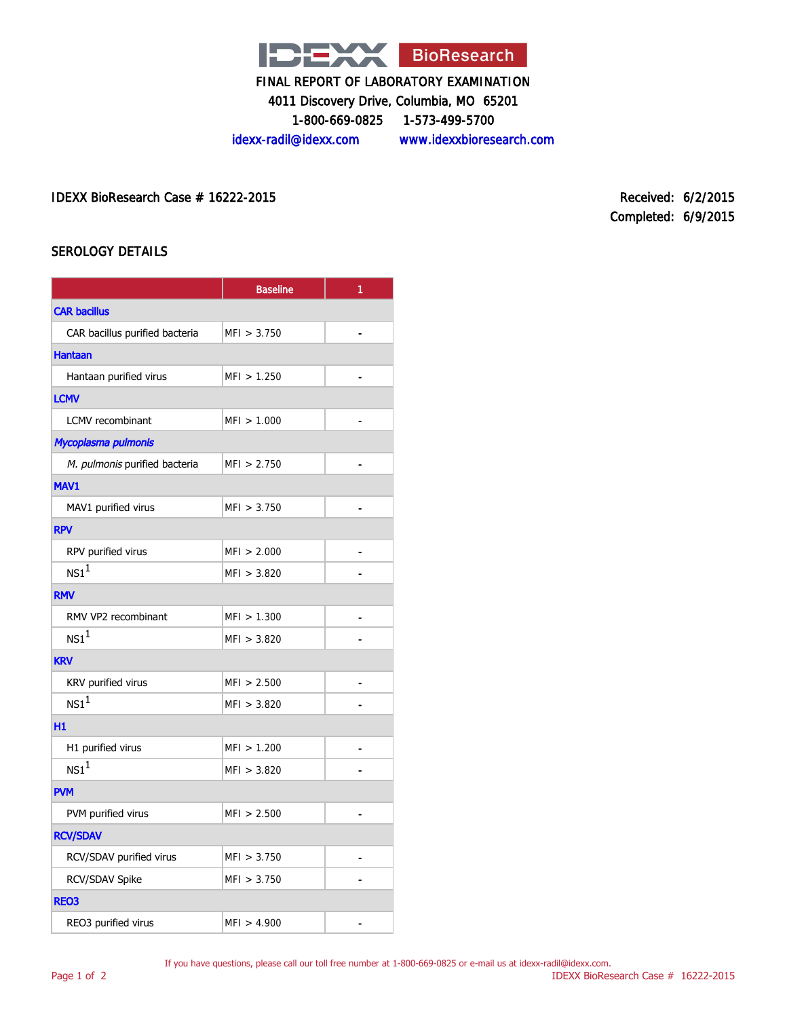

4011 Discovery Drive, Columbia, MO 65201

1-800-669-0825 1-573-499-5700

idexx-radil@idexx.com www.idexxbioresearch.com

IDEXX BioResearch Case # 16222-2015 Received: 6/2/2015

Completed: 6/9/2015

#### SEROLOGY DETAILS

|                                | <b>Baseline</b> | 1              |
|--------------------------------|-----------------|----------------|
| <b>CAR bacillus</b>            |                 |                |
| CAR bacillus purified bacteria | MFI > 3.750     | ä,             |
| <b>Hantaan</b>                 |                 |                |
| Hantaan purified virus         | MFI > 1.250     |                |
| <b>LCMV</b>                    |                 |                |
| <b>LCMV</b> recombinant        | MFI > 1.000     | $\overline{a}$ |
| Mycoplasma pulmonis            |                 |                |
| M. pulmonis purified bacteria  | MFI > 2.750     |                |
| MAV1                           |                 |                |
| MAV1 purified virus            | MFI > 3.750     | ۳              |
| <b>RPV</b>                     |                 |                |
| RPV purified virus             | MFI > 2.000     |                |
| NS1 <sup>1</sup>               | MFI > 3.820     |                |
| <b>RMV</b>                     |                 |                |
| RMV VP2 recombinant            | MFI > 1.300     |                |
| NS1 <sup>1</sup>               | MFI > 3.820     |                |
| <b>KRV</b>                     |                 |                |
| KRV purified virus             | MFI > 2.500     | $\blacksquare$ |
| NS1 <sup>1</sup>               | MFI > 3.820     |                |
| H1                             |                 |                |
| H1 purified virus              | MFI > 1.200     |                |
| NS1 <sup>1</sup>               | MFI > 3.820     |                |
| <b>PVM</b>                     |                 |                |
| PVM purified virus             | MFI > 2.500     |                |
| <b>RCV/SDAV</b>                |                 |                |
| RCV/SDAV purified virus        | MFI > 3.750     |                |
| RCV/SDAV Spike                 | MFI > 3.750     |                |
| <b>REO3</b>                    |                 |                |
| REO3 purified virus            | MFI > 4.900     |                |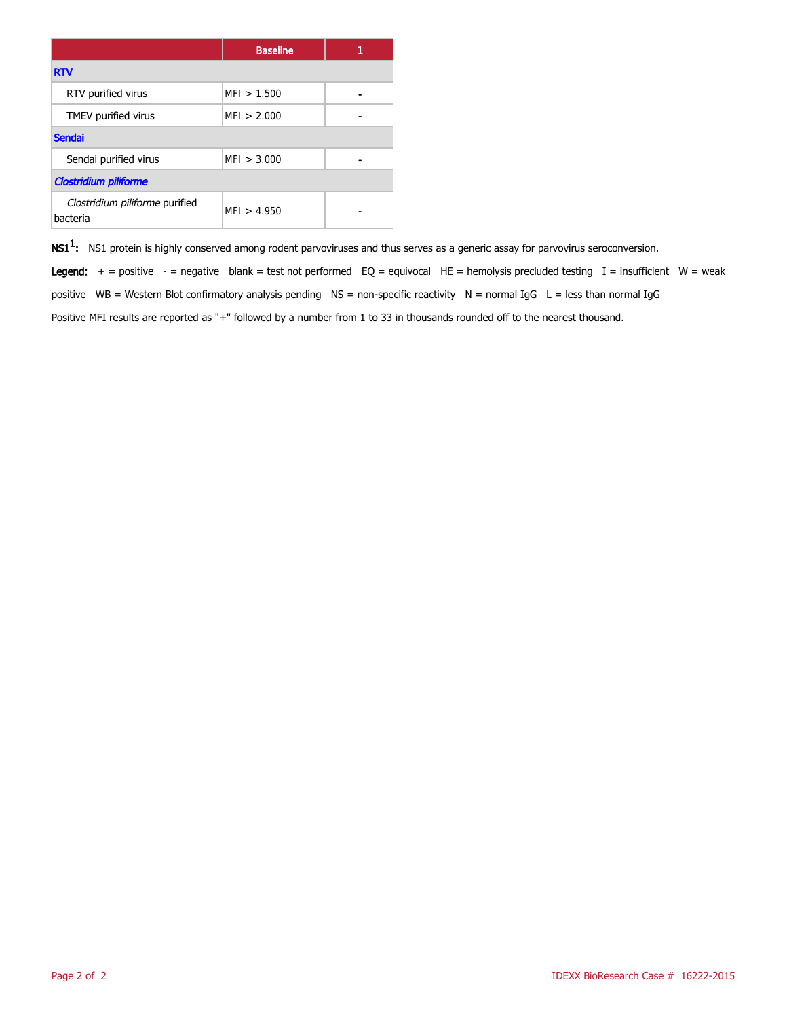|                                            | <b>Baseline</b> |  |  |
|--------------------------------------------|-----------------|--|--|
| <b>RTV</b>                                 |                 |  |  |
| RTV purified virus                         | MFI > 1.500     |  |  |
| TMEV purified virus                        | MFI > 2.000     |  |  |
| <b>Sendai</b>                              |                 |  |  |
| Sendai purified virus                      | MFI > 3.000     |  |  |
| <b>Clostridium piliforme</b>               |                 |  |  |
| Clostridium piliforme purified<br>bacteria | MFI > 4.950     |  |  |

 $\mathsf{NS1^1}\text{:}$  NS1 protein is highly conserved among rodent parvoviruses and thus serves as a generic assay for parvovirus seroconversion.

Legend:  $+$  = positive - = negative blank = test not performed EQ = equivocal HE = hemolysis precluded testing I = insufficient W = weak positive WB = Western Blot confirmatory analysis pending  $NS =$  non-specific reactivity  $N =$  normal IgG  $L =$  less than normal IgG Positive MFI results are reported as "+" followed by a number from 1 to 33 in thousands rounded off to the nearest thousand.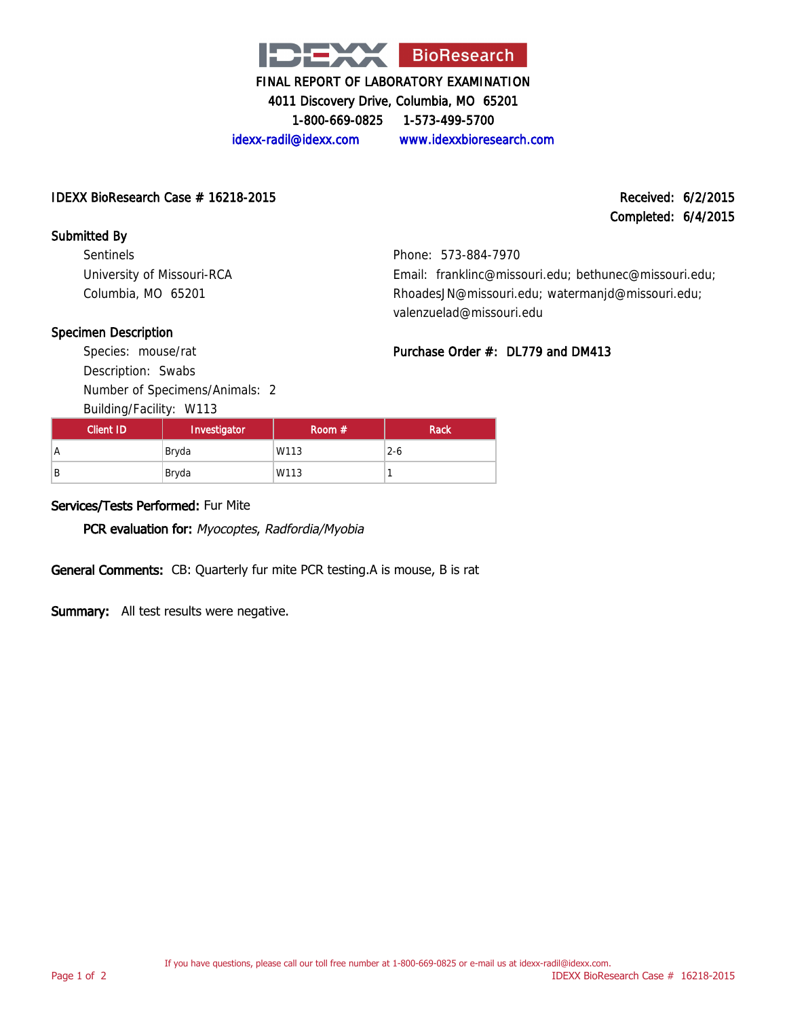

4011 Discovery Drive, Columbia, MO 65201

1-800-669-0825 1-573-499-5700

idexx-radil@idexx.com www.idexxbioresearch.com

#### IDEXX BioResearch Case # 16218-2015 Received: 6/2/2015

Completed: 6/4/2015

#### Submitted By

Sentinels University of Missouri-RCA Columbia, MO 65201

Phone: 573-884-7970 Email: franklinc@missouri.edu; bethunec@missouri.edu; RhoadesJN@missouri.edu; watermanjd@missouri.edu; valenzuelad@missouri.edu

#### Specimen Description

Species: mouse/rat Description: Swabs Number of Specimens/Animals: 2 Building/Facility: W113

Purchase Order #: DL779 and DM413

| Client ID | Investigator | Room $#$ | <b>Rack</b> |
|-----------|--------------|----------|-------------|
| A         | Bryda        | W113     | $2 - 6$     |
| B         | Bryda        | W113     |             |

#### Services/Tests Performed: Fur Mite

PCR evaluation for: Myocoptes, Radfordia/Myobia

General Comments: CB: Quarterly fur mite PCR testing.A is mouse, B is rat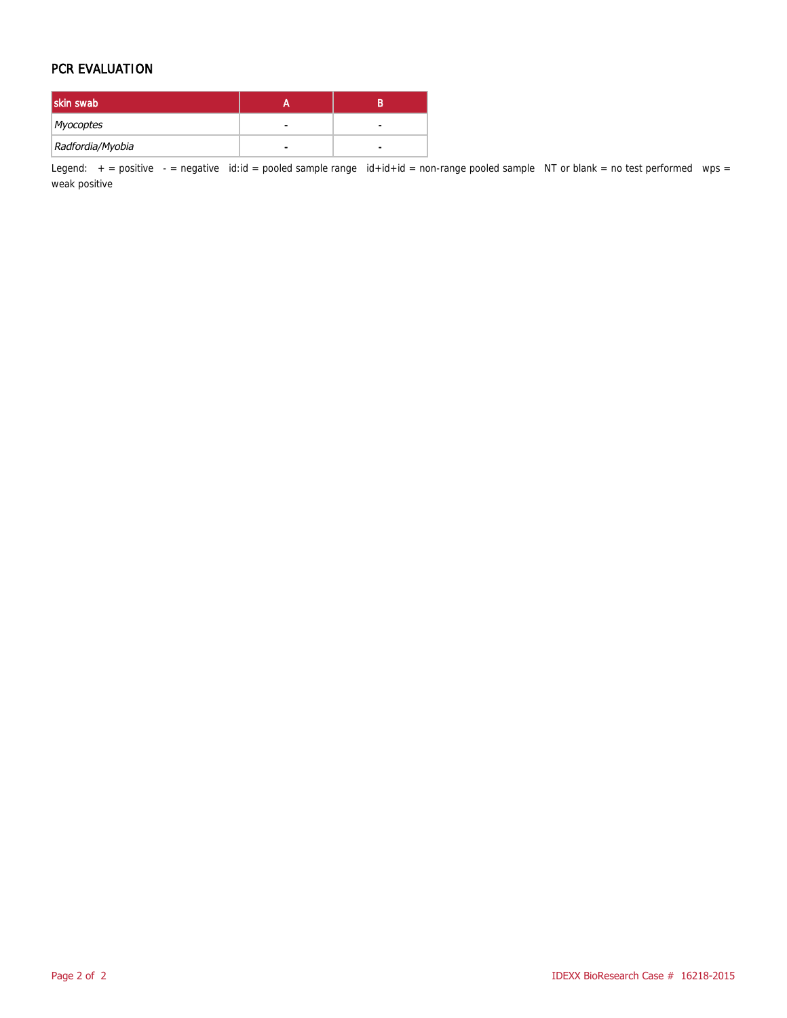#### PCR EVALUATION

| skin swab        |   |   |
|------------------|---|---|
| Myocoptes        | - | - |
| Radfordia/Myobia |   |   |

Legend:  $+$  = positive  $-$  = negative id:id = pooled sample range id+id+id = non-range pooled sample NT or blank = no test performed wps = weak positive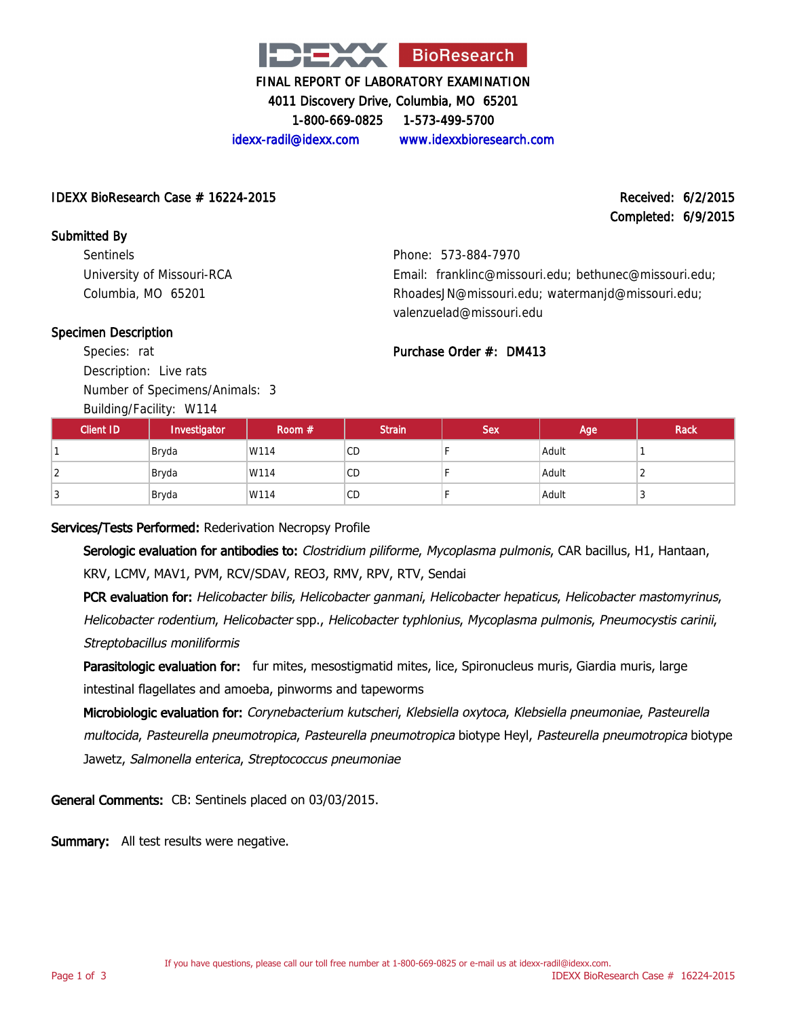

4011 Discovery Drive, Columbia, MO 65201

1-800-669-0825 1-573-499-5700

idexx-radil@idexx.com www.idexxbioresearch.com

#### IDEXX BioResearch Case # 16224-2015 Received: 6/2/2015

Completed: 6/9/2015

Submitted By **Sentinels** University of Missouri-RCA Columbia, MO 65201

Phone: 573-884-7970 Email: franklinc@missouri.edu; bethunec@missouri.edu; RhoadesJN@missouri.edu; watermanjd@missouri.edu; valenzuelad@missouri.edu

#### Specimen Description

Species: rat Description: Live rats Number of Specimens/Animals: 3

Building/Facility: W114

| Purchase Order #: DM413 |  |
|-------------------------|--|
|                         |  |

| $\sim$<br><b>Client ID</b> | Investigator | Room $#$ | <b>Strain</b> | <b>Sex</b> | Age   | Rack |
|----------------------------|--------------|----------|---------------|------------|-------|------|
|                            | Bryda        | W114     | CD            |            | Adult |      |
|                            | Bryda        | W114     | <b>CD</b>     |            | Adult |      |
| - 1                        | Bryda        | W114     | <b>CD</b>     |            | Adult | N    |

Services/Tests Performed: Rederivation Necropsy Profile

Serologic evaluation for antibodies to: Clostridium piliforme, Mycoplasma pulmonis, CAR bacillus, H1, Hantaan, KRV, LCMV, MAV1, PVM, RCV/SDAV, REO3, RMV, RPV, RTV, Sendai

PCR evaluation for: Helicobacter bilis, Helicobacter ganmani, Helicobacter hepaticus, Helicobacter mastomyrinus, Helicobacter rodentium, Helicobacter spp., Helicobacter typhlonius, Mycoplasma pulmonis, Pneumocystis carinii, Streptobacillus moniliformis

Parasitologic evaluation for: fur mites, mesostigmatid mites, lice, Spironucleus muris, Giardia muris, large intestinal flagellates and amoeba, pinworms and tapeworms

Microbiologic evaluation for: Corynebacterium kutscheri, Klebsiella oxytoca, Klebsiella pneumoniae, Pasteurella multocida, Pasteurella pneumotropica, Pasteurella pneumotropica biotype Heyl, Pasteurella pneumotropica biotype Jawetz, Salmonella enterica, Streptococcus pneumoniae

General Comments: CB: Sentinels placed on 03/03/2015.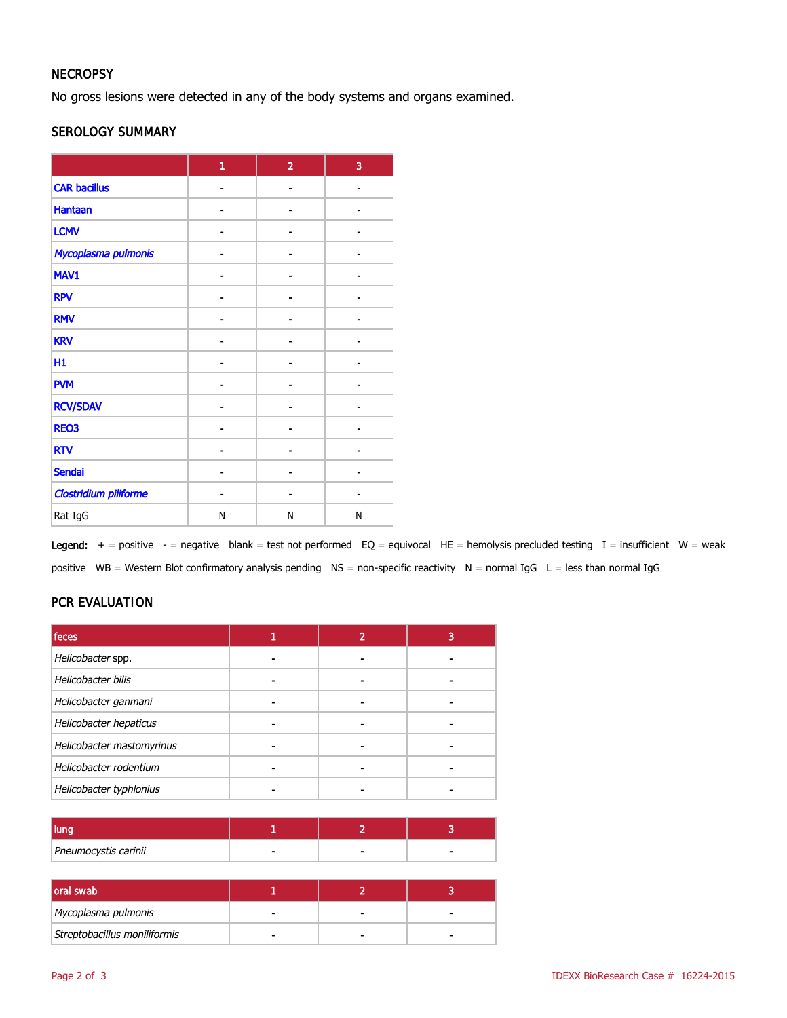#### **NECROPSY**

No gross lesions were detected in any of the body systems and organs examined.

#### SEROLOGY SUMMARY

|                              | 1 | $\overline{2}$ | 3  |
|------------------------------|---|----------------|----|
| <b>CAR bacillus</b>          |   |                |    |
| <b>Hantaan</b>               |   |                |    |
| <b>LCMV</b>                  |   | Ĭ.             |    |
| Mycoplasma pulmonis          |   |                |    |
| MAV1                         |   | ۰              | Ē. |
| <b>RPV</b>                   |   |                |    |
| <b>RMV</b>                   |   |                |    |
| <b>KRV</b>                   |   |                |    |
| H1                           |   | $\blacksquare$ |    |
| <b>PVM</b>                   |   |                |    |
| <b>RCV/SDAV</b>              |   |                |    |
| <b>REO3</b>                  |   |                |    |
| <b>RTV</b>                   |   |                |    |
| <b>Sendai</b>                |   |                |    |
| <b>Clostridium piliforme</b> |   |                |    |
| Rat IgG                      | N | N              | Ν  |

Legend:  $+$  = positive - = negative blank = test not performed EQ = equivocal HE = hemolysis precluded testing I = insufficient W = weak positive WB = Western Blot confirmatory analysis pending NS = non-specific reactivity N = normal IgG L = less than normal IgG

#### PCR EVALUATION

| feces                     |  |  |
|---------------------------|--|--|
| Helicobacter spp.         |  |  |
| Helicobacter bilis        |  |  |
| Helicobacter ganmani      |  |  |
| Helicobacter hepaticus    |  |  |
| Helicobacter mastomyrinus |  |  |
| Helicobacter rodentium    |  |  |
| Helicobacter typhlonius   |  |  |

| Pneumocystis carinii | $\sim$ |  |
|----------------------|--------|--|

| oral swab                    |  |  |
|------------------------------|--|--|
| Mycoplasma pulmonis          |  |  |
| Streptobacillus moniliformis |  |  |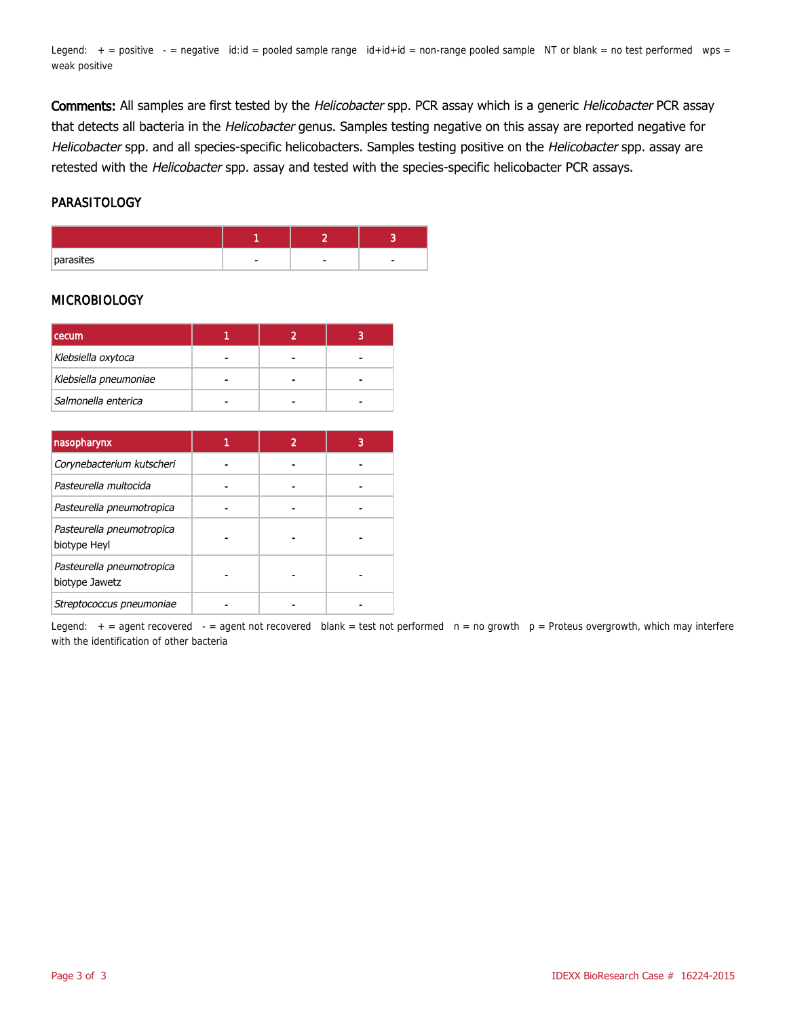Legend:  $+$  = positive  $-$  = negative id:id = pooled sample range  $id+id+id$  = non-range pooled sample NT or blank = no test performed wps = weak positive

Comments: All samples are first tested by the Helicobacter spp. PCR assay which is a generic Helicobacter PCR assay that detects all bacteria in the Helicobacter genus. Samples testing negative on this assay are reported negative for Helicobacter spp. and all species-specific helicobacters. Samples testing positive on the Helicobacter spp. assay are retested with the Helicobacter spp. assay and tested with the species-specific helicobacter PCR assays.

#### PARASITOLOGY

| parasites |  | ۰ |
|-----------|--|---|

#### MICROBIOLOGY

| <b>I</b> cecum        |  |  |
|-----------------------|--|--|
| Klebsiella oxytoca    |  |  |
| Klebsiella pneumoniae |  |  |
| Salmonella enterica   |  |  |

| nasopharynx                                 |  |  |
|---------------------------------------------|--|--|
| Corynebacterium kutscheri                   |  |  |
| Pasteurella multocida                       |  |  |
| Pasteurella pneumotropica                   |  |  |
| Pasteurella pneumotropica<br>biotype Heyl   |  |  |
| Pasteurella pneumotropica<br>biotype Jawetz |  |  |
| Streptococcus pneumoniae                    |  |  |

Legend:  $+$  = agent recovered - = agent not recovered blank = test not performed  $n = no$  growth  $p =$  Proteus overgrowth, which may interfere with the identification of other bacteria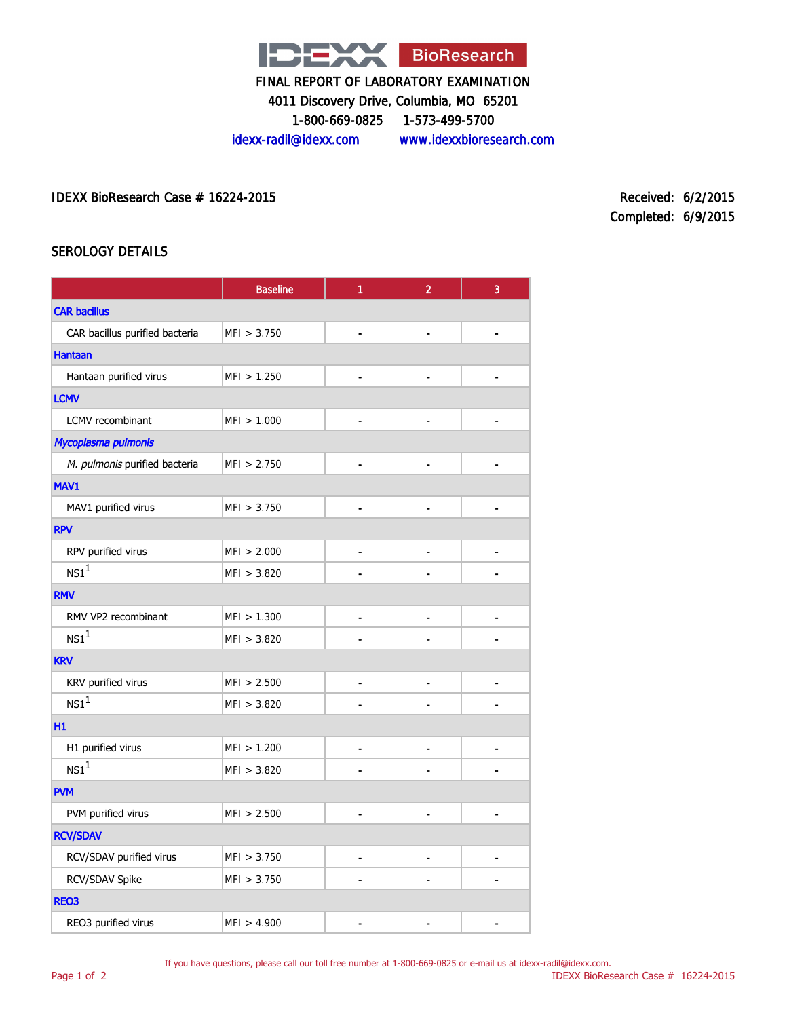

4011 Discovery Drive, Columbia, MO 65201

1-800-669-0825 1-573-499-5700

idexx-radil@idexx.com www.idexxbioresearch.com

IDEXX BioResearch Case # 16224-2015 Received: 6/2/2015

Completed: 6/9/2015

#### SEROLOGY DETAILS

|                                | <b>Baseline</b> | 1                            | $\overline{2}$           | 3              |
|--------------------------------|-----------------|------------------------------|--------------------------|----------------|
| <b>CAR bacillus</b>            |                 |                              |                          |                |
| CAR bacillus purified bacteria | MFI > 3.750     | ٠                            | ٠                        |                |
| <b>Hantaan</b>                 |                 |                              |                          |                |
| Hantaan purified virus         | MFI > 1.250     |                              |                          |                |
| <b>LCMV</b>                    |                 |                              |                          |                |
| LCMV recombinant               | MFI > 1.000     | $\overline{\phantom{a}}$     | -                        |                |
| Mycoplasma pulmonis            |                 |                              |                          |                |
| M. pulmonis purified bacteria  | MF1 > 2.750     |                              |                          |                |
| MAV1                           |                 |                              |                          |                |
| MAV1 purified virus            | MFI > 3.750     | $\overline{a}$               | $\overline{\phantom{0}}$ |                |
| <b>RPV</b>                     |                 |                              |                          |                |
| RPV purified virus             | MFI > 2.000     | $\qquad \qquad \blacksquare$ | -                        |                |
| $NS1^1$                        | MFI > 3.820     |                              |                          |                |
| <b>RMV</b>                     |                 |                              |                          |                |
| RMV VP2 recombinant            | MFI > 1.300     | $\overline{a}$               | $\overline{a}$           | $\overline{a}$ |
| NS1 <sup>1</sup>               | MFI > 3.820     |                              |                          |                |
| <b>KRV</b>                     |                 |                              |                          |                |
| KRV purified virus             | MFI > 2.500     | $\blacksquare$               | $\blacksquare$           | $\blacksquare$ |
| NS1 <sup>1</sup>               | MFI > 3.820     |                              |                          |                |
| H1                             |                 |                              |                          |                |
| H1 purified virus              | MFI > 1.200     |                              | $\overline{a}$           |                |
| $\text{NS1}^1$                 | MFI > 3.820     |                              |                          |                |
| <b>PVM</b>                     |                 |                              |                          |                |
| PVM purified virus             | MFI > 2.500     |                              |                          |                |
| <b>RCV/SDAV</b>                |                 |                              |                          |                |
| RCV/SDAV purified virus        | MFI > 3.750     | $\blacksquare$               | ٠                        |                |
| RCV/SDAV Spike                 | MFI > 3.750     |                              |                          |                |
| <b>REO3</b>                    |                 |                              |                          |                |
| REO3 purified virus            | MFI > 4.900     |                              |                          |                |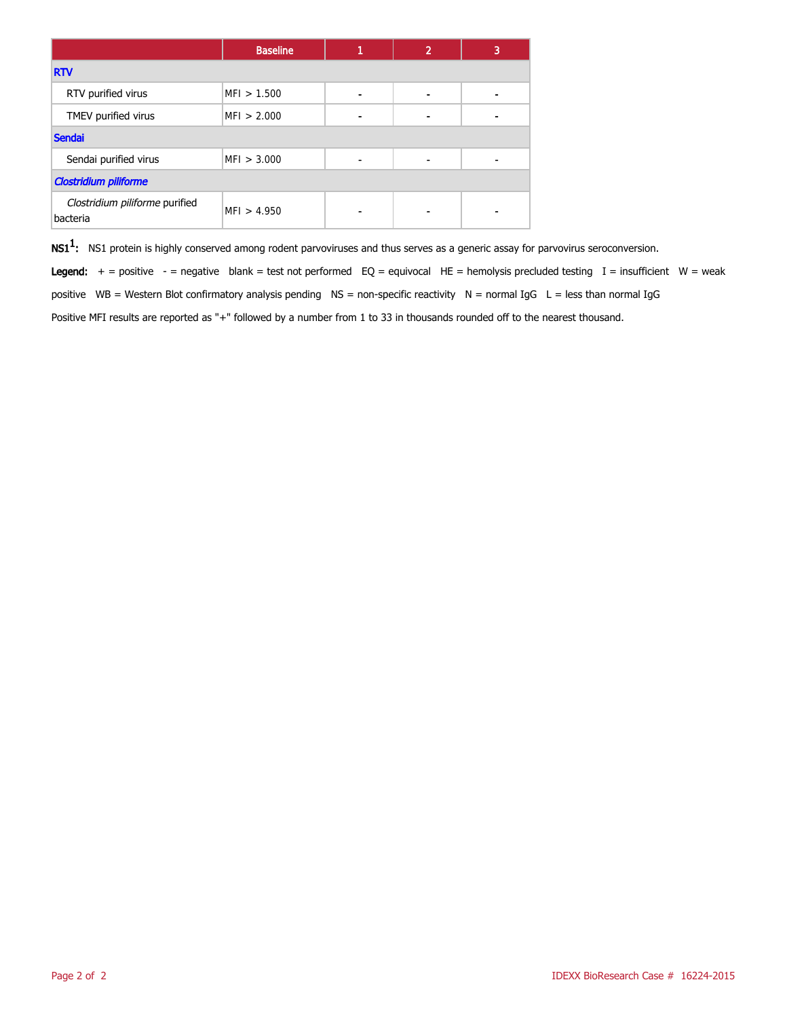|                                            | <b>Baseline</b> |  | $\overline{2}$ | 3 |
|--------------------------------------------|-----------------|--|----------------|---|
| <b>RTV</b>                                 |                 |  |                |   |
| RTV purified virus                         | MFI > 1.500     |  |                |   |
| TMEV purified virus                        | MFI > 2.000     |  |                |   |
| <b>Sendai</b>                              |                 |  |                |   |
| Sendai purified virus                      | MFI > 3.000     |  |                |   |
| <b>Clostridium piliforme</b>               |                 |  |                |   |
| Clostridium piliforme purified<br>bacteria | MF1 > 4.950     |  |                |   |

 $\mathsf{NS1^1}\text{:}$  NS1 protein is highly conserved among rodent parvoviruses and thus serves as a generic assay for parvovirus seroconversion.

Legend:  $+$  = positive - = negative blank = test not performed EQ = equivocal HE = hemolysis precluded testing I = insufficient W = weak positive WB = Western Blot confirmatory analysis pending  $NS =$  non-specific reactivity  $N =$  normal IgG  $L =$  less than normal IgG Positive MFI results are reported as "+" followed by a number from 1 to 33 in thousands rounded off to the nearest thousand.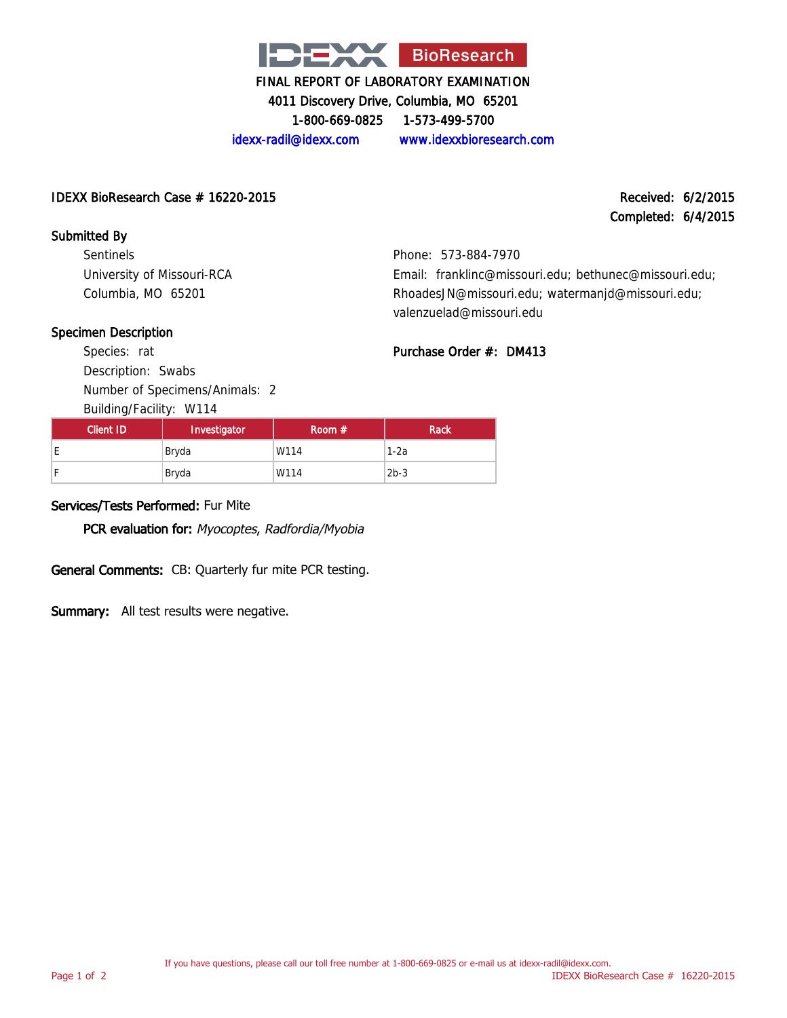

4011 Discovery Drive, Columbia, MO 65201

1-800-669-0825 1-573-499-5700

idexx-radil@idexx.com www.idexxbioresearch.com

#### IDEXX BioResearch Case # 16220-2015 Received: 6/2/2015

Completed: 6/4/2015

#### Submitted By

Sentinels University of Missouri-RCA Columbia, MO 65201

Phone: 573-884-7970 Email: franklinc@missouri.edu; bethunec@missouri.edu; RhoadesJN@missouri.edu; watermanjd@missouri.edu; valenzuelad@missouri.edu

Purchase Order #: DM413

#### Specimen Description

Species: rat Description: Swabs Number of Specimens/Animals: 2

| Building/Facility: W114 |              |          |             |  |  |
|-------------------------|--------------|----------|-------------|--|--|
| <b>Client ID</b>        | Investigator | Room $#$ | <b>Rack</b> |  |  |
| E.                      | Bryda        | W114     | $1-2a$      |  |  |
| F                       | Bryda        | W114     | $2b-3$      |  |  |

#### Services/Tests Performed: Fur Mite

PCR evaluation for: Myocoptes, Radfordia/Myobia

General Comments: CB: Quarterly fur mite PCR testing.